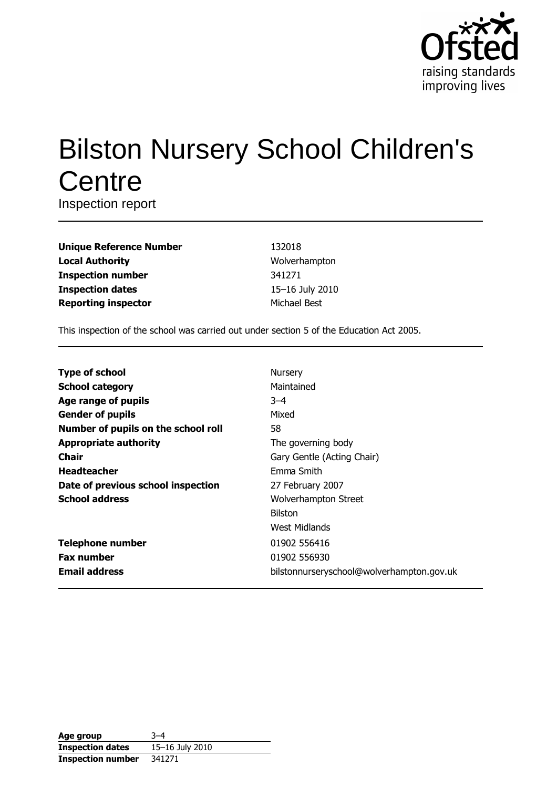

# **Bilston Nursery School Children's** Centre

Inspection report

| <b>Unique Reference Number</b> |
|--------------------------------|
| <b>Local Authority</b>         |
| <b>Inspection number</b>       |
| <b>Inspection dates</b>        |
| <b>Reporting inspector</b>     |

132018 Wolverhampton 341271 15-16 July 2010 Michael Best

This inspection of the school was carried out under section 5 of the Education Act 2005.

| <b>Type of school</b>               | Nursery                                   |
|-------------------------------------|-------------------------------------------|
| <b>School category</b>              | Maintained                                |
| Age range of pupils                 | $-4$                                      |
| <b>Gender of pupils</b>             | Mixed                                     |
| Number of pupils on the school roll | 58                                        |
| <b>Appropriate authority</b>        | The governing body                        |
| <b>Chair</b>                        | Gary Gentle (Acting Chair)                |
| <b>Headteacher</b>                  | Emma Smith                                |
| Date of previous school inspection  | 27 February 2007                          |
| <b>School address</b>               | <b>Wolverhampton Street</b>               |
|                                     | <b>Bilston</b>                            |
|                                     | West Midlands                             |
| <b>Telephone number</b>             | 01902 556416                              |
| <b>Fax number</b>                   | 01902 556930                              |
| <b>Email address</b>                | bilstonnurseryschool@wolverhampton.gov.uk |

| Age group                | २–4             |
|--------------------------|-----------------|
| <b>Inspection dates</b>  | 15-16 July 2010 |
| <b>Inspection number</b> | 341271          |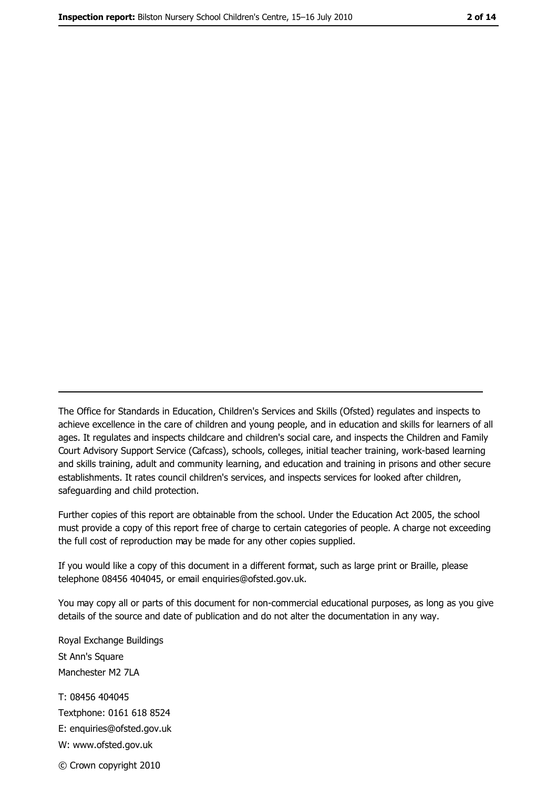The Office for Standards in Education, Children's Services and Skills (Ofsted) regulates and inspects to achieve excellence in the care of children and young people, and in education and skills for learners of all ages. It regulates and inspects childcare and children's social care, and inspects the Children and Family Court Advisory Support Service (Cafcass), schools, colleges, initial teacher training, work-based learning and skills training, adult and community learning, and education and training in prisons and other secure establishments. It rates council children's services, and inspects services for looked after children, safequarding and child protection.

Further copies of this report are obtainable from the school. Under the Education Act 2005, the school must provide a copy of this report free of charge to certain categories of people. A charge not exceeding the full cost of reproduction may be made for any other copies supplied.

If you would like a copy of this document in a different format, such as large print or Braille, please telephone 08456 404045, or email enquiries@ofsted.gov.uk.

You may copy all or parts of this document for non-commercial educational purposes, as long as you give details of the source and date of publication and do not alter the documentation in any way.

Royal Exchange Buildings St Ann's Square Manchester M2 7LA T: 08456 404045 Textphone: 0161 618 8524 E: enquiries@ofsted.gov.uk W: www.ofsted.gov.uk © Crown copyright 2010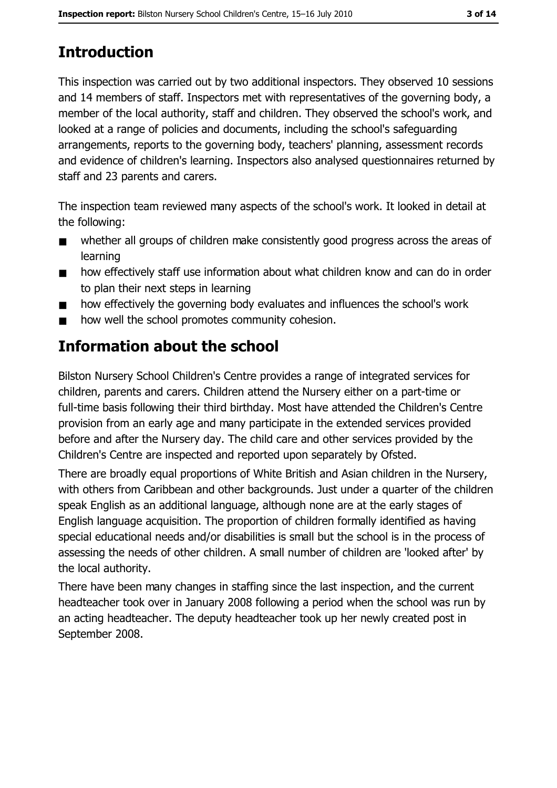# **Introduction**

This inspection was carried out by two additional inspectors. They observed 10 sessions and 14 members of staff. Inspectors met with representatives of the governing body, a member of the local authority, staff and children. They observed the school's work, and looked at a range of policies and documents, including the school's safeguarding arrangements, reports to the governing body, teachers' planning, assessment records and evidence of children's learning. Inspectors also analysed questionnaires returned by staff and 23 parents and carers.

The inspection team reviewed many aspects of the school's work. It looked in detail at the following:

- whether all groups of children make consistently good progress across the areas of  $\blacksquare$ learning
- how effectively staff use information about what children know and can do in order  $\blacksquare$ to plan their next steps in learning
- how effectively the governing body evaluates and influences the school's work  $\blacksquare$
- how well the school promotes community cohesion.  $\blacksquare$

# Information about the school

Bilston Nursery School Children's Centre provides a range of integrated services for children, parents and carers. Children attend the Nursery either on a part-time or full-time basis following their third birthday. Most have attended the Children's Centre provision from an early age and many participate in the extended services provided before and after the Nursery day. The child care and other services provided by the Children's Centre are inspected and reported upon separately by Ofsted.

There are broadly equal proportions of White British and Asian children in the Nursery, with others from Caribbean and other backgrounds. Just under a quarter of the children speak English as an additional language, although none are at the early stages of English language acquisition. The proportion of children formally identified as having special educational needs and/or disabilities is small but the school is in the process of assessing the needs of other children. A small number of children are 'looked after' by the local authority.

There have been many changes in staffing since the last inspection, and the current headteacher took over in January 2008 following a period when the school was run by an acting headteacher. The deputy headteacher took up her newly created post in September 2008.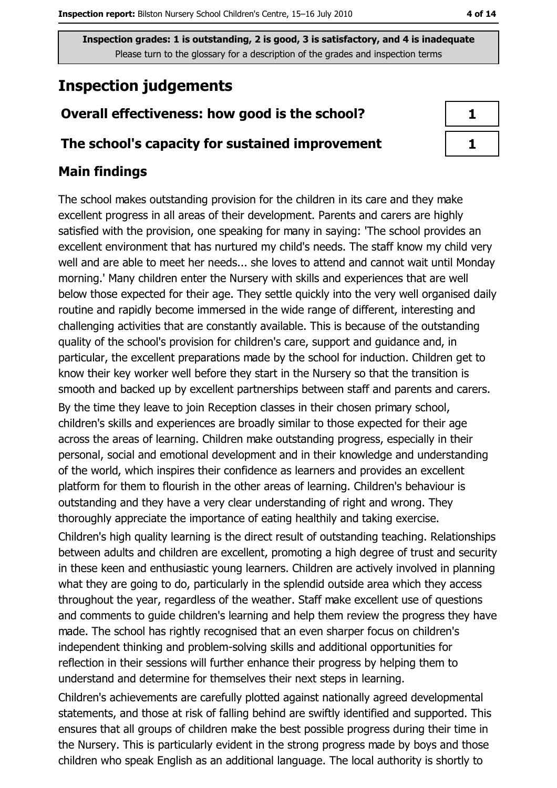# **Inspection judgements**

### Overall effectiveness: how good is the school?

#### The school's capacity for sustained improvement

### **Main findings**

The school makes outstanding provision for the children in its care and they make excellent progress in all areas of their development. Parents and carers are highly satisfied with the provision, one speaking for many in saying: 'The school provides an excellent environment that has nurtured my child's needs. The staff know my child very well and are able to meet her needs... she loves to attend and cannot wait until Monday morning.' Many children enter the Nursery with skills and experiences that are well below those expected for their age. They settle quickly into the very well organised daily routine and rapidly become immersed in the wide range of different, interesting and challenging activities that are constantly available. This is because of the outstanding quality of the school's provision for children's care, support and guidance and, in particular, the excellent preparations made by the school for induction. Children get to know their key worker well before they start in the Nursery so that the transition is smooth and backed up by excellent partnerships between staff and parents and carers.

By the time they leave to join Reception classes in their chosen primary school, children's skills and experiences are broadly similar to those expected for their age across the areas of learning. Children make outstanding progress, especially in their personal, social and emotional development and in their knowledge and understanding of the world, which inspires their confidence as learners and provides an excellent platform for them to flourish in the other areas of learning. Children's behaviour is outstanding and they have a very clear understanding of right and wrong. They thoroughly appreciate the importance of eating healthily and taking exercise.

Children's high quality learning is the direct result of outstanding teaching. Relationships between adults and children are excellent, promoting a high degree of trust and security in these keen and enthusiastic young learners. Children are actively involved in planning what they are going to do, particularly in the splendid outside area which they access throughout the year, regardless of the weather. Staff make excellent use of questions and comments to guide children's learning and help them review the progress they have made. The school has rightly recognised that an even sharper focus on children's independent thinking and problem-solving skills and additional opportunities for reflection in their sessions will further enhance their progress by helping them to understand and determine for themselves their next steps in learning.

Children's achievements are carefully plotted against nationally agreed developmental statements, and those at risk of falling behind are swiftly identified and supported. This ensures that all groups of children make the best possible progress during their time in the Nursery. This is particularly evident in the strong progress made by boys and those children who speak English as an additional language. The local authority is shortly to

| a ka |
|------|
|      |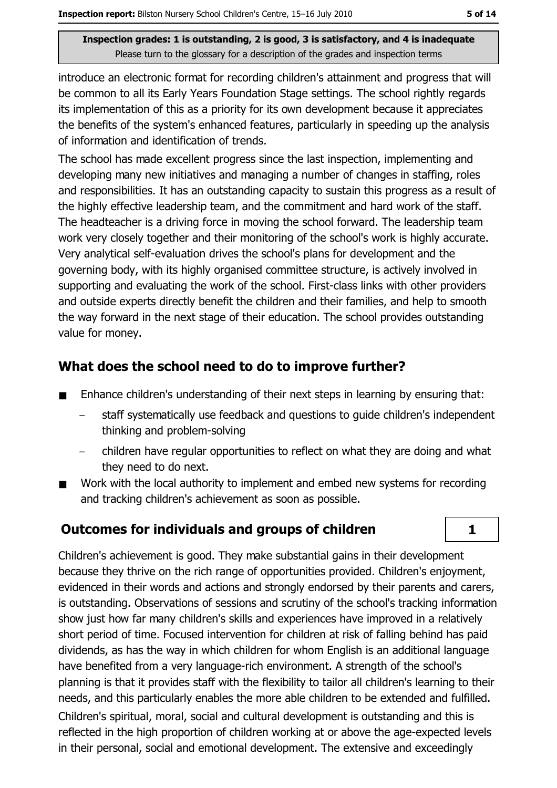introduce an electronic format for recording children's attainment and progress that will be common to all its Early Years Foundation Stage settings. The school rightly regards its implementation of this as a priority for its own development because it appreciates the benefits of the system's enhanced features, particularly in speeding up the analysis of information and identification of trends.

The school has made excellent progress since the last inspection, implementing and developing many new initiatives and managing a number of changes in staffing, roles and responsibilities. It has an outstanding capacity to sustain this progress as a result of the highly effective leadership team, and the commitment and hard work of the staff. The headteacher is a driving force in moving the school forward. The leadership team work very closely together and their monitoring of the school's work is highly accurate. Very analytical self-evaluation drives the school's plans for development and the governing body, with its highly organised committee structure, is actively involved in supporting and evaluating the work of the school. First-class links with other providers and outside experts directly benefit the children and their families, and help to smooth the way forward in the next stage of their education. The school provides outstanding value for money.

## What does the school need to do to improve further?

- Enhance children's understanding of their next steps in learning by ensuring that:  $\blacksquare$ 
	- staff systematically use feedback and questions to quide children's independent thinking and problem-solving
	- children have regular opportunities to reflect on what they are doing and what they need to do next.
- Work with the local authority to implement and embed new systems for recording  $\blacksquare$ and tracking children's achievement as soon as possible.

# **Outcomes for individuals and groups of children**

 $\mathbf{1}$ 

Children's achievement is good. They make substantial gains in their development because they thrive on the rich range of opportunities provided. Children's enjoyment, evidenced in their words and actions and strongly endorsed by their parents and carers, is outstanding. Observations of sessions and scrutiny of the school's tracking information show just how far many children's skills and experiences have improved in a relatively short period of time. Focused intervention for children at risk of falling behind has paid dividends, as has the way in which children for whom English is an additional language have benefited from a very language-rich environment. A strength of the school's planning is that it provides staff with the flexibility to tailor all children's learning to their needs, and this particularly enables the more able children to be extended and fulfilled.

Children's spiritual, moral, social and cultural development is outstanding and this is reflected in the high proportion of children working at or above the age-expected levels in their personal, social and emotional development. The extensive and exceedingly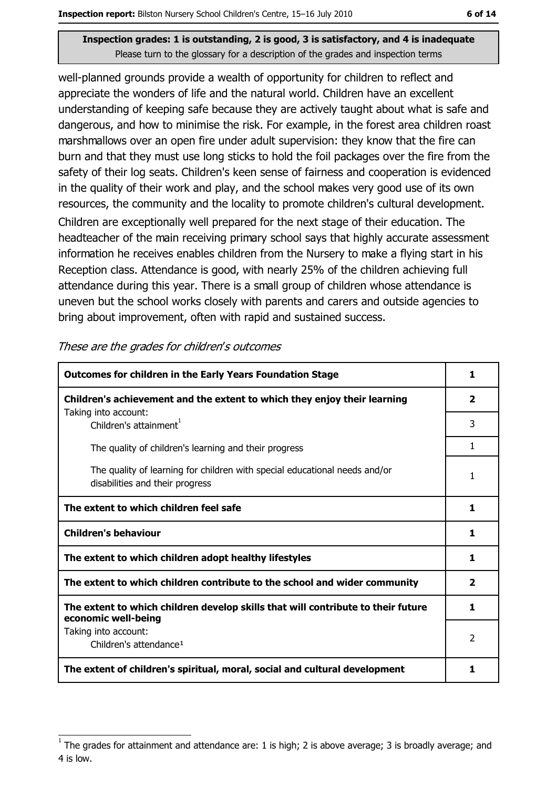well-planned grounds provide a wealth of opportunity for children to reflect and appreciate the wonders of life and the natural world. Children have an excellent understanding of keeping safe because they are actively taught about what is safe and dangerous, and how to minimise the risk. For example, in the forest area children roast marshmallows over an open fire under adult supervision: they know that the fire can burn and that they must use long sticks to hold the foil packages over the fire from the safety of their log seats. Children's keen sense of fairness and cooperation is evidenced in the quality of their work and play, and the school makes very good use of its own resources, the community and the locality to promote children's cultural development.

Children are exceptionally well prepared for the next stage of their education. The headteacher of the main receiving primary school says that highly accurate assessment information he receives enables children from the Nursery to make a flying start in his Reception class. Attendance is good, with nearly 25% of the children achieving full attendance during this year. There is a small group of children whose attendance is uneven but the school works closely with parents and carers and outside agencies to bring about improvement, often with rapid and sustained success.

| <b>Outcomes for children in the Early Years Foundation Stage</b>                                              | 1                       |
|---------------------------------------------------------------------------------------------------------------|-------------------------|
| Children's achievement and the extent to which they enjoy their learning                                      | $\overline{\mathbf{2}}$ |
| Taking into account:<br>Children's attainment <sup>1</sup>                                                    | 3                       |
| The quality of children's learning and their progress                                                         | 1                       |
| The quality of learning for children with special educational needs and/or<br>disabilities and their progress | 1                       |
| The extent to which children feel safe                                                                        | 1                       |
| <b>Children's behaviour</b>                                                                                   | 1                       |
| The extent to which children adopt healthy lifestyles                                                         | 1                       |
| The extent to which children contribute to the school and wider community                                     | 2                       |
| The extent to which children develop skills that will contribute to their future<br>economic well-being       | 1                       |
| Taking into account:<br>Children's attendance <sup>1</sup>                                                    | $\mathcal{P}$           |
| The extent of children's spiritual, moral, social and cultural development                                    | 1                       |

These are the grades for children's outcomes

The grades for attainment and attendance are: 1 is high; 2 is above average; 3 is broadly average; and 4 is low.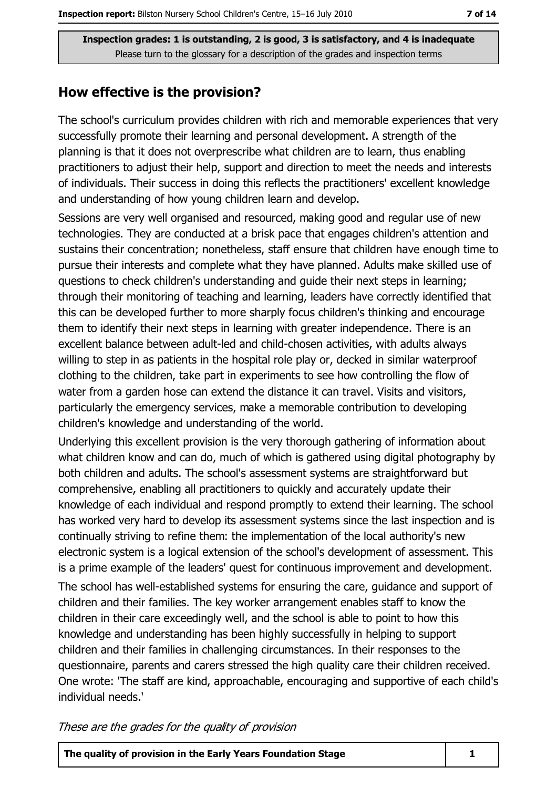### How effective is the provision?

The school's curriculum provides children with rich and memorable experiences that very successfully promote their learning and personal development. A strength of the planning is that it does not overprescribe what children are to learn, thus enabling practitioners to adjust their help, support and direction to meet the needs and interests of individuals. Their success in doing this reflects the practitioners' excellent knowledge and understanding of how young children learn and develop.

Sessions are very well organised and resourced, making good and regular use of new technologies. They are conducted at a brisk pace that engages children's attention and sustains their concentration; nonetheless, staff ensure that children have enough time to pursue their interests and complete what they have planned. Adults make skilled use of questions to check children's understanding and guide their next steps in learning; through their monitoring of teaching and learning, leaders have correctly identified that this can be developed further to more sharply focus children's thinking and encourage them to identify their next steps in learning with greater independence. There is an excellent balance between adult-led and child-chosen activities, with adults always willing to step in as patients in the hospital role play or, decked in similar waterproof clothing to the children, take part in experiments to see how controlling the flow of water from a garden hose can extend the distance it can travel. Visits and visitors, particularly the emergency services, make a memorable contribution to developing children's knowledge and understanding of the world.

Underlying this excellent provision is the very thorough gathering of information about what children know and can do, much of which is gathered using digital photography by both children and adults. The school's assessment systems are straightforward but comprehensive, enabling all practitioners to quickly and accurately update their knowledge of each individual and respond promptly to extend their learning. The school has worked very hard to develop its assessment systems since the last inspection and is continually striving to refine them: the implementation of the local authority's new electronic system is a logical extension of the school's development of assessment. This is a prime example of the leaders' quest for continuous improvement and development.

The school has well-established systems for ensuring the care, guidance and support of children and their families. The key worker arrangement enables staff to know the children in their care exceedingly well, and the school is able to point to how this knowledge and understanding has been highly successfully in helping to support children and their families in challenging circumstances. In their responses to the questionnaire, parents and carers stressed the high quality care their children received. One wrote: 'The staff are kind, approachable, encouraging and supportive of each child's individual needs.'

These are the grades for the quality of provision

| The quality of provision in the Early Years Foundation Stage |
|--------------------------------------------------------------|
|--------------------------------------------------------------|

1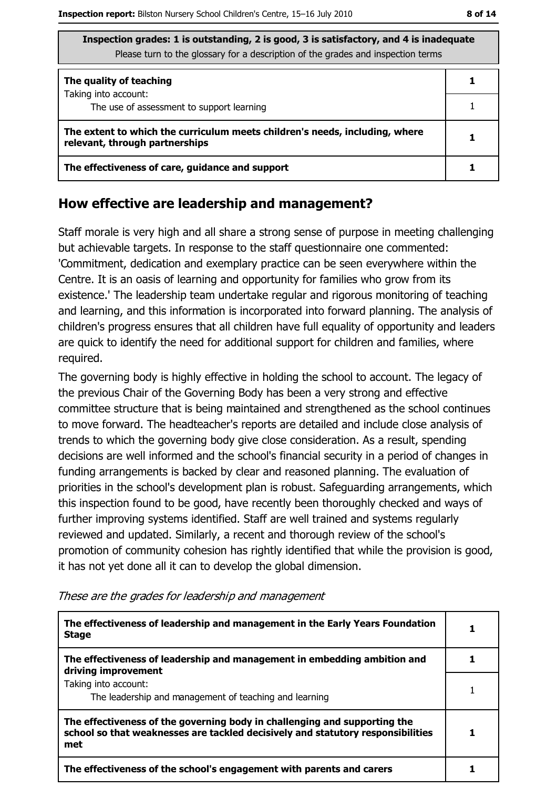| Inspection grades: I is outstanding, 2 is good, 5 is satisfactory, and 4 is inadequate<br>Please turn to the glossary for a description of the grades and inspection terms |  |  |  |
|----------------------------------------------------------------------------------------------------------------------------------------------------------------------------|--|--|--|
| The quality of teaching                                                                                                                                                    |  |  |  |
| Taking into account:<br>The use of assessment to support learning                                                                                                          |  |  |  |
| The extent to which the curriculum meets children's needs, including, where<br>relevant, through partnerships                                                              |  |  |  |
| The effectiveness of care, guidance and support                                                                                                                            |  |  |  |

#### How effective are leadership and management?

Staff morale is very high and all share a strong sense of purpose in meeting challenging but achievable targets. In response to the staff questionnaire one commented: 'Commitment, dedication and exemplary practice can be seen everywhere within the Centre. It is an oasis of learning and opportunity for families who grow from its existence.' The leadership team undertake regular and rigorous monitoring of teaching and learning, and this information is incorporated into forward planning. The analysis of children's progress ensures that all children have full equality of opportunity and leaders are quick to identify the need for additional support for children and families, where required.

The governing body is highly effective in holding the school to account. The legacy of the previous Chair of the Governing Body has been a very strong and effective committee structure that is being maintained and strengthened as the school continues to move forward. The headteacher's reports are detailed and include close analysis of trends to which the governing body give close consideration. As a result, spending decisions are well informed and the school's financial security in a period of changes in funding arrangements is backed by clear and reasoned planning. The evaluation of priorities in the school's development plan is robust. Safeguarding arrangements, which this inspection found to be good, have recently been thoroughly checked and ways of further improving systems identified. Staff are well trained and systems regularly reviewed and updated. Similarly, a recent and thorough review of the school's promotion of community cohesion has rightly identified that while the provision is good, it has not yet done all it can to develop the global dimension.

| The effectiveness of leadership and management in the Early Years Foundation<br><b>Stage</b>                                                                        |  |
|---------------------------------------------------------------------------------------------------------------------------------------------------------------------|--|
| The effectiveness of leadership and management in embedding ambition and<br>driving improvement                                                                     |  |
| Taking into account:<br>The leadership and management of teaching and learning                                                                                      |  |
| The effectiveness of the governing body in challenging and supporting the<br>school so that weaknesses are tackled decisively and statutory responsibilities<br>met |  |
| The effectiveness of the school's engagement with parents and carers                                                                                                |  |

These are the grades for leadership and management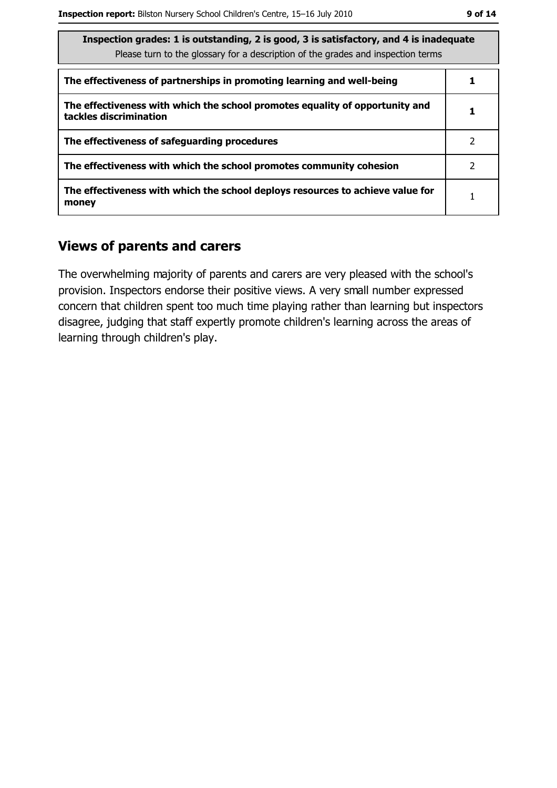| Inspection grades: 1 is outstanding, 2 is good, 3 is satisfactory, and 4 is inadequate<br>Please turn to the glossary for a description of the grades and inspection terms |   |
|----------------------------------------------------------------------------------------------------------------------------------------------------------------------------|---|
| The effectiveness of partnerships in promoting learning and well-being                                                                                                     |   |
| The effectiveness with which the school promotes equality of opportunity and<br>tackles discrimination                                                                     |   |
| The effectiveness of safeguarding procedures                                                                                                                               | 2 |
| The effectiveness with which the school promotes community cohesion                                                                                                        | 2 |
| The effectiveness with which the school deploys resources to achieve value for<br>money                                                                                    |   |

### **Views of parents and carers**

The overwhelming majority of parents and carers are very pleased with the school's provision. Inspectors endorse their positive views. A very small number expressed concern that children spent too much time playing rather than learning but inspectors disagree, judging that staff expertly promote children's learning across the areas of learning through children's play.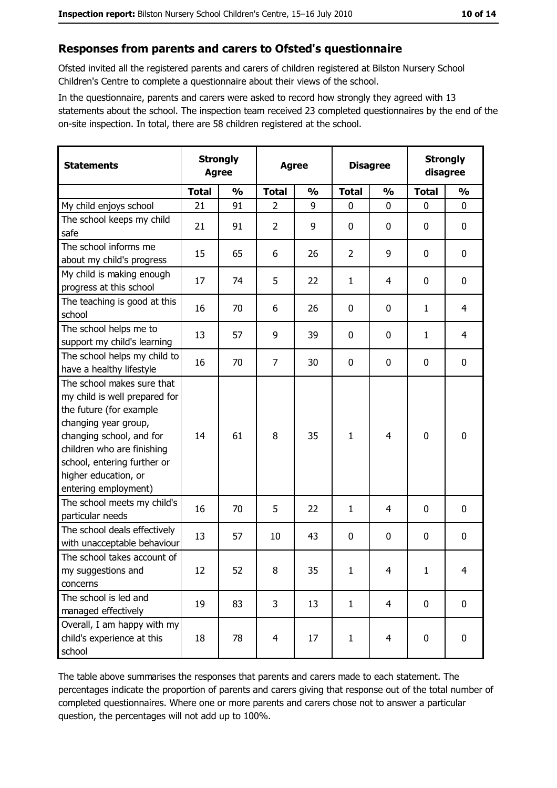#### Responses from parents and carers to Ofsted's questionnaire

Ofsted invited all the registered parents and carers of children registered at Bilston Nursery School Children's Centre to complete a questionnaire about their views of the school.

In the questionnaire, parents and carers were asked to record how strongly they agreed with 13 statements about the school. The inspection team received 23 completed questionnaires by the end of the on-site inspection. In total, there are 58 children registered at the school.

| <b>Statements</b>                                                                                                                                                                                                                                       | <b>Strongly</b><br><b>Agree</b> |               | <b>Disagree</b><br><b>Agree</b> |               | <b>Strongly</b><br>disagree |                |              |                  |
|---------------------------------------------------------------------------------------------------------------------------------------------------------------------------------------------------------------------------------------------------------|---------------------------------|---------------|---------------------------------|---------------|-----------------------------|----------------|--------------|------------------|
|                                                                                                                                                                                                                                                         | <b>Total</b>                    | $\frac{1}{2}$ | <b>Total</b>                    | $\frac{0}{0}$ | <b>Total</b>                | $\frac{0}{0}$  | <b>Total</b> | $\frac{0}{0}$    |
| My child enjoys school                                                                                                                                                                                                                                  | 21                              | 91            | $\overline{2}$                  | 9             | $\mathbf 0$                 | 0              | $\mathbf{0}$ | $\mathbf 0$      |
| The school keeps my child<br>safe                                                                                                                                                                                                                       | 21                              | 91            | $\overline{2}$                  | 9             | $\mathbf 0$                 | 0              | 0            | $\boldsymbol{0}$ |
| The school informs me<br>about my child's progress                                                                                                                                                                                                      | 15                              | 65            | 6                               | 26            | $\overline{2}$              | 9              | 0            | 0                |
| My child is making enough<br>progress at this school                                                                                                                                                                                                    | 17                              | 74            | 5                               | 22            | $\mathbf{1}$                | 4              | 0            | 0                |
| The teaching is good at this<br>school                                                                                                                                                                                                                  | 16                              | 70            | 6                               | 26            | $\mathbf 0$                 | 0              | 1            | $\overline{4}$   |
| The school helps me to<br>support my child's learning                                                                                                                                                                                                   | 13                              | 57            | 9                               | 39            | 0                           | 0              | 1            | 4                |
| The school helps my child to<br>have a healthy lifestyle                                                                                                                                                                                                | 16                              | 70            | 7                               | 30            | $\mathbf 0$                 | 0              | 0            | $\mathbf 0$      |
| The school makes sure that<br>my child is well prepared for<br>the future (for example<br>changing year group,<br>changing school, and for<br>children who are finishing<br>school, entering further or<br>higher education, or<br>entering employment) | 14                              | 61            | 8                               | 35            | $\mathbf{1}$                | $\overline{4}$ | 0            | $\mathbf 0$      |
| The school meets my child's<br>particular needs                                                                                                                                                                                                         | 16                              | 70            | 5                               | 22            | 1                           | 4              | 0            | $\mathbf 0$      |
| The school deals effectively<br>with unacceptable behaviour                                                                                                                                                                                             | 13                              | 57            | 10                              | 43            | $\mathbf 0$                 | 0              | 0            | 0                |
| The school takes account of<br>my suggestions and<br>concerns                                                                                                                                                                                           | 12                              | 52            | 8                               | 35            | $\mathbf{1}$                | 4              | $\mathbf{1}$ | $\overline{4}$   |
| The school is led and<br>managed effectively                                                                                                                                                                                                            | 19                              | 83            | 3                               | 13            | $\mathbf{1}$                | $\overline{4}$ | $\mathbf 0$  | $\mathbf 0$      |
| Overall, I am happy with my<br>child's experience at this<br>school                                                                                                                                                                                     | 18                              | 78            | $\overline{4}$                  | 17            | $\mathbf{1}$                | $\overline{4}$ | 0            | 0                |

The table above summarises the responses that parents and carers made to each statement. The percentages indicate the proportion of parents and carers giving that response out of the total number of completed questionnaires. Where one or more parents and carers chose not to answer a particular question, the percentages will not add up to 100%.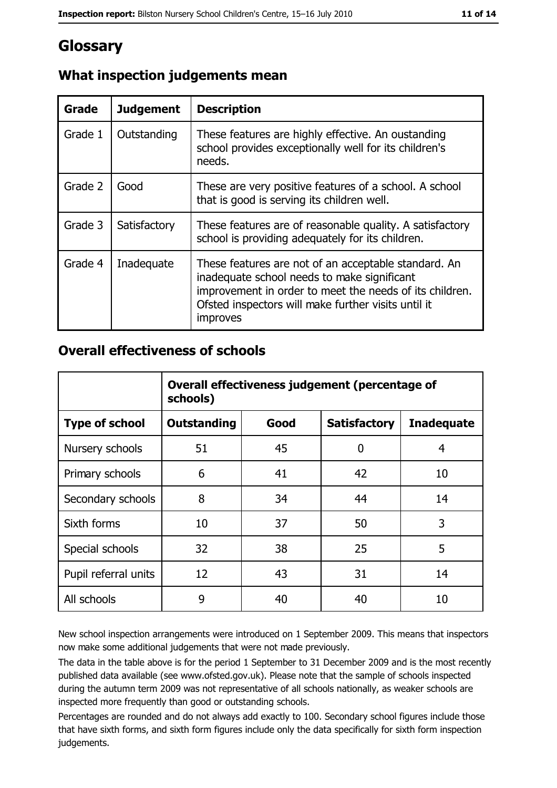# Glossary

| Grade   | <b>Judgement</b> | <b>Description</b>                                                                                                                                                                                                                |
|---------|------------------|-----------------------------------------------------------------------------------------------------------------------------------------------------------------------------------------------------------------------------------|
| Grade 1 | Outstanding      | These features are highly effective. An oustanding<br>school provides exceptionally well for its children's<br>needs.                                                                                                             |
| Grade 2 | Good             | These are very positive features of a school. A school<br>that is good is serving its children well.                                                                                                                              |
| Grade 3 | Satisfactory     | These features are of reasonable quality. A satisfactory<br>school is providing adequately for its children.                                                                                                                      |
| Grade 4 | Inadequate       | These features are not of an acceptable standard. An<br>inadequate school needs to make significant<br>improvement in order to meet the needs of its children.<br>Ofsted inspectors will make further visits until it<br>improves |

### What inspection judgements mean

# **Overall effectiveness of schools**

|                       | Overall effectiveness judgement (percentage of<br>schools) |      |                     |                   |  |  |
|-----------------------|------------------------------------------------------------|------|---------------------|-------------------|--|--|
| <b>Type of school</b> | <b>Outstanding</b>                                         | Good | <b>Satisfactory</b> | <b>Inadequate</b> |  |  |
| Nursery schools       | 51                                                         | 45   | 0                   | 4                 |  |  |
| Primary schools       | 6                                                          | 41   | 42                  | 10                |  |  |
| Secondary schools     | 8                                                          | 34   | 44                  | 14                |  |  |
| Sixth forms           | 10                                                         | 37   | 50                  | 3                 |  |  |
| Special schools       | 32                                                         | 38   | 25                  | 5                 |  |  |
| Pupil referral units  | 12                                                         | 43   | 31                  | 14                |  |  |
| All schools           | 9                                                          | 40   | 40                  | 10                |  |  |

New school inspection arrangements were introduced on 1 September 2009. This means that inspectors now make some additional judgements that were not made previously.

The data in the table above is for the period 1 September to 31 December 2009 and is the most recently published data available (see www.ofsted.gov.uk). Please note that the sample of schools inspected during the autumn term 2009 was not representative of all schools nationally, as weaker schools are inspected more frequently than good or outstanding schools.

Percentages are rounded and do not always add exactly to 100. Secondary school figures include those that have sixth forms, and sixth form figures include only the data specifically for sixth form inspection judgements.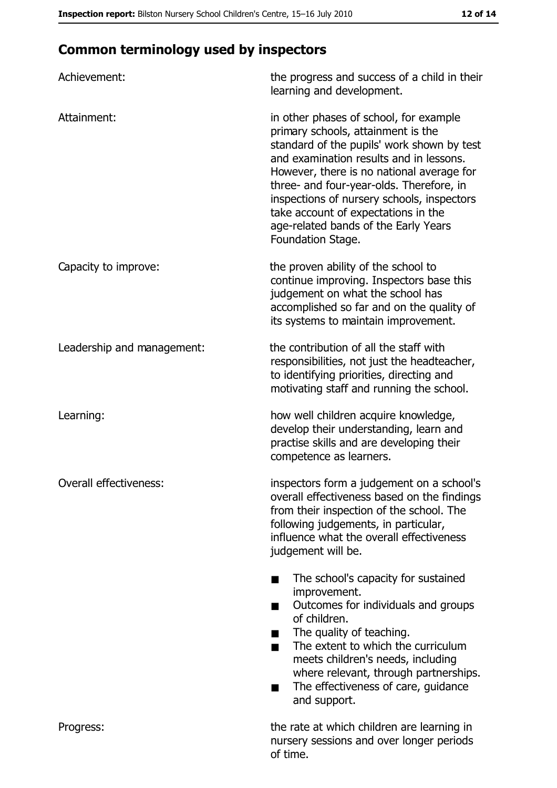# **Common terminology used by inspectors**

| Achievement:               | the progress and success of a child in their<br>learning and development.                                                                                                                                                                                                                                                                                                                                        |
|----------------------------|------------------------------------------------------------------------------------------------------------------------------------------------------------------------------------------------------------------------------------------------------------------------------------------------------------------------------------------------------------------------------------------------------------------|
| Attainment:                | in other phases of school, for example<br>primary schools, attainment is the<br>standard of the pupils' work shown by test<br>and examination results and in lessons.<br>However, there is no national average for<br>three- and four-year-olds. Therefore, in<br>inspections of nursery schools, inspectors<br>take account of expectations in the<br>age-related bands of the Early Years<br>Foundation Stage. |
| Capacity to improve:       | the proven ability of the school to<br>continue improving. Inspectors base this<br>judgement on what the school has<br>accomplished so far and on the quality of<br>its systems to maintain improvement.                                                                                                                                                                                                         |
| Leadership and management: | the contribution of all the staff with<br>responsibilities, not just the headteacher,<br>to identifying priorities, directing and<br>motivating staff and running the school.                                                                                                                                                                                                                                    |
| Learning:                  | how well children acquire knowledge,<br>develop their understanding, learn and<br>practise skills and are developing their<br>competence as learners.                                                                                                                                                                                                                                                            |
| Overall effectiveness:     | inspectors form a judgement on a school's<br>overall effectiveness based on the findings<br>from their inspection of the school. The<br>following judgements, in particular,<br>influence what the overall effectiveness<br>judgement will be.                                                                                                                                                                   |
|                            | The school's capacity for sustained<br>improvement.<br>Outcomes for individuals and groups<br>of children.<br>The quality of teaching.<br>The extent to which the curriculum<br>meets children's needs, including<br>where relevant, through partnerships.<br>The effectiveness of care, guidance<br>and support.                                                                                                |
| Progress:                  | the rate at which children are learning in<br>nursery sessions and over longer periods<br>of time.                                                                                                                                                                                                                                                                                                               |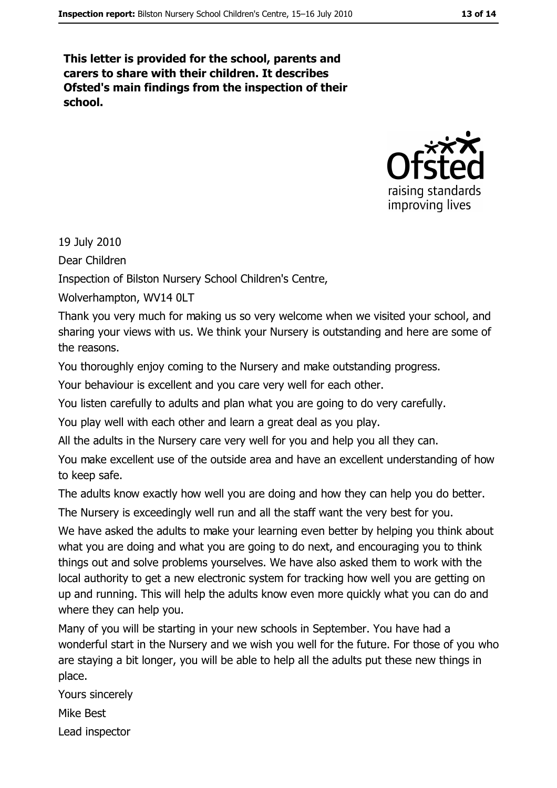This letter is provided for the school, parents and carers to share with their children. It describes Ofsted's main findings from the inspection of their school.



19 July 2010

Dear Children

Inspection of Bilston Nursery School Children's Centre,

Wolverhampton, WV14 0LT

Thank you very much for making us so very welcome when we visited your school, and sharing your views with us. We think your Nursery is outstanding and here are some of the reasons.

You thoroughly enjoy coming to the Nursery and make outstanding progress.

Your behaviour is excellent and you care very well for each other.

You listen carefully to adults and plan what you are going to do very carefully.

You play well with each other and learn a great deal as you play.

All the adults in the Nursery care very well for you and help you all they can.

You make excellent use of the outside area and have an excellent understanding of how to keep safe.

The adults know exactly how well you are doing and how they can help you do better.

The Nursery is exceedingly well run and all the staff want the very best for you.

We have asked the adults to make your learning even better by helping you think about what you are doing and what you are going to do next, and encouraging you to think things out and solve problems yourselves. We have also asked them to work with the local authority to get a new electronic system for tracking how well you are getting on up and running. This will help the adults know even more quickly what you can do and where they can help you.

Many of you will be starting in your new schools in September. You have had a wonderful start in the Nursery and we wish you well for the future. For those of you who are staying a bit longer, you will be able to help all the adults put these new things in place.

Yours sincerely Mike Best Lead inspector